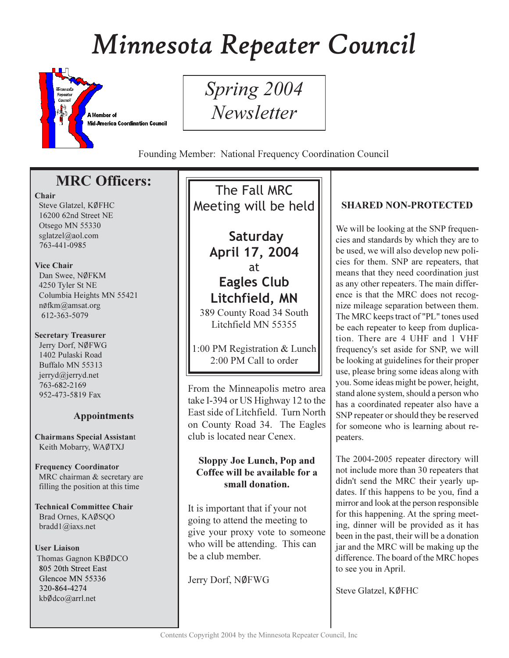# Minnesota Repeater Council



Spring 2004 **Newsletter** 

Founding Member: National Frequency Coordination Council

# **MRC Officers:**

#### Chair

Steve Glatzel, KØFHC 16200 62nd Street NE Otsego MN 55330 sglatzel@aol.com 763-441-0985

#### **Vice Chair**

Dan Swee, NØFKM 4250 Tyler St NE Columbia Heights MN 55421 nøfkm@amsat.org 612-363-5079

#### **Secretary Treasurer**

Jerry Dorf, NØFWG 1402 Pulaski Road Buffalo MN 55313 jerryd@jerryd.net 763-682-2169 952-473-5819 Fax

## **Appointments**

**Chairmans Special Assistant** Keith Mobarry, WAØTXJ

#### **Frequency Coordinator** MRC chairman & secretary are filling the position at this time

**Technical Committee Chair** Brad Ornes, KAØSQO bradd $1$ @iaxs.net

#### **User Liaison**

Thomas Gagnon KBØDCO 805 20th Street East Glencoe MN 55336 320-864-4274 kbØdco@arrl.net

The Fall MRC Meeting will be held

> Saturday April 17, 2004 at **Eagles Club** Litchfield, MN

389 County Road 34 South Litchfield MN 55355

1:00 PM Registration & Lunch 2:00 PM Call to order

From the Minneapolis metro area take I-394 or US Highway 12 to the East side of Litchfield. Turn North on County Road 34. The Eagles club is located near Cenex.

### **Sloppy Joe Lunch, Pop and** Coffee will be available for a small donation.

It is important that if your not going to attend the meeting to give your proxy vote to someone who will be attending. This can be a club member.

Jerry Dorf, NØFWG

## **SHARED NON-PROTECTED**

We will be looking at the SNP frequencies and standards by which they are to be used, we will also develop new policies for them. SNP are repeaters, that means that they need coordination just as any other repeaters. The main difference is that the MRC does not recognize mileage separation between them. The MRC keeps tract of "PL" tones used be each repeater to keep from duplication. There are 4 UHF and 1 VHF frequency's set aside for SNP, we will be looking at guidelines for their proper use, please bring some ideas along with you. Some ideas might be power, height, stand alone system, should a person who has a coordinated repeater also have a SNP repeater or should they be reserved for someone who is learning about repeaters.

The 2004-2005 repeater directory will not include more than 30 repeaters that didn't send the MRC their yearly updates. If this happens to be you, find a mirror and look at the person responsible for this happening. At the spring meeting, dinner will be provided as it has been in the past, their will be a donation jar and the MRC will be making up the difference. The board of the MRC hopes to see you in April.

Steve Glatzel, KØFHC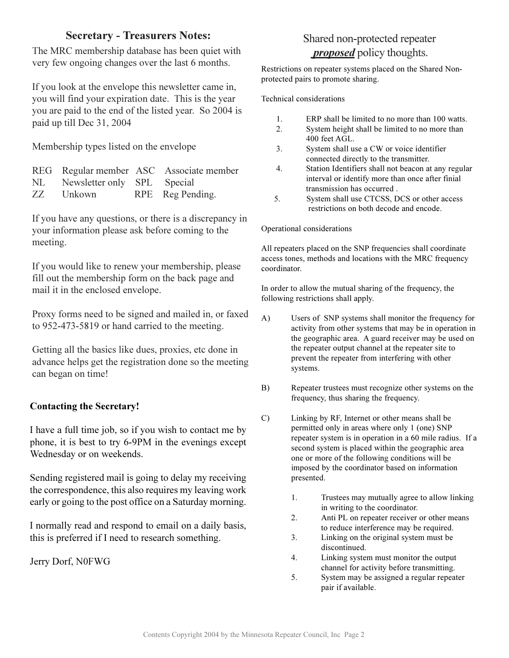## **Secretary - Treasurers Notes:**

The MRC membership database has been quiet with very few ongoing changes over the last 6 months.

If you look at the envelope this newsletter came in, you will find your expiration date. This is the year you are paid to the end of the listed year. So 2004 is paid up till Dec 31, 2004

Membership types listed on the envelope

|                                | REG Regular member ASC Associate member |
|--------------------------------|-----------------------------------------|
| NL Newsletter only SPL Special |                                         |
| ZZ Unkown                      | RPE Reg Pending.                        |

If you have any questions, or there is a discrepancy in your information please ask before coming to the meeting.

If you would like to renew your membership, please fill out the membership form on the back page and mail it in the enclosed envelope.

Proxy forms need to be signed and mailed in, or faxed to 952-473-5819 or hand carried to the meeting.

Getting all the basics like dues, proxies, etc done in advance helps get the registration done so the meeting can began on time!

## **Contacting the Secretary!**

I have a full time job, so if you wish to contact me by phone, it is best to try 6-9PM in the evenings except Wednesday or on weekends.

Sending registered mail is going to delay my receiving the correspondence, this also requires my leaving work early or going to the post office on a Saturday morning.

I normally read and respond to email on a daily basis, this is preferred if I need to research something.

Jerry Dorf, N0FWG

## Shared non-protected repeater *proposed* policy thoughts.

Restrictions on repeater systems placed on the Shared Nonprotected pairs to promote sharing.

Technical considerations

- $1.$ ERP shall be limited to no more than 100 watts.
- $\overline{2}$ . System height shall be limited to no more than 400 feet AGL.
- $3<sub>1</sub>$ System shall use a CW or voice identifier connected directly to the transmitter.
- $\overline{4}$ . Station Identifiers shall not beacon at any regular interval or identify more than once after finial transmission has occurred.
- 5. System shall use CTCSS, DCS or other access restrictions on both decode and encode.

#### Operational considerations

All repeaters placed on the SNP frequencies shall coordinate access tones, methods and locations with the MRC frequency coordinator.

In order to allow the mutual sharing of the frequency, the following restrictions shall apply.

- $\mathbf{A}$ Users of SNP systems shall monitor the frequency for activity from other systems that may be in operation in the geographic area. A guard receiver may be used on the repeater output channel at the repeater site to prevent the repeater from interfering with other systems.
- $B)$ Repeater trustees must recognize other systems on the frequency, thus sharing the frequency.
- $\mathcal{C}$ Linking by RF, Internet or other means shall be permitted only in areas where only 1 (one) SNP repeater system is in operation in a 60 mile radius. If a second system is placed within the geographic area one or more of the following conditions will be imposed by the coordinator based on information presented.
	- Trustees may mutually agree to allow linking 1. in writing to the coordinator.
	- Anti PL on repeater receiver or other means 2. to reduce interference may be required.
	- $3.$ Linking on the original system must be discontinued.
	- $\overline{4}$ . Linking system must monitor the output channel for activity before transmitting.
	- 5. System may be assigned a regular repeater pair if available.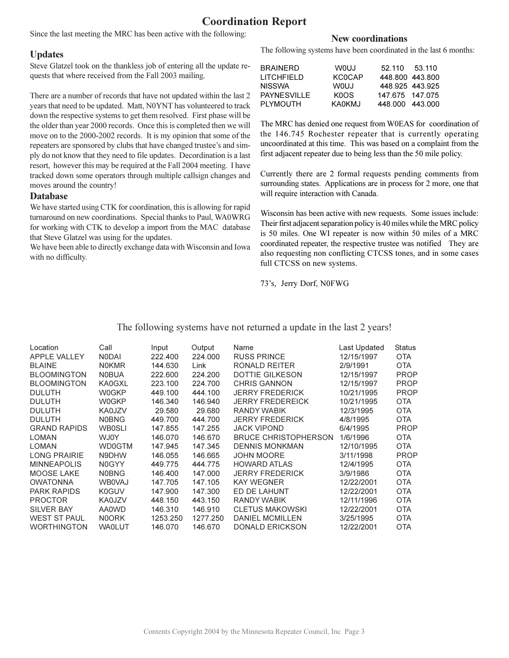## **Coordination Report**

Since the last meeting the MRC has been active with the following:

#### **Updates**

Steve Glatzel took on the thankless job of entering all the update requests that where received from the Fall 2003 mailing.

There are a number of records that have not updated within the last 2 years that need to be updated. Matt, N0YNT has volunteered to track down the respective systems to get them resolved. First phase will be the older than year 2000 records. Once this is completed then we will move on to the 2000-2002 records. It is my opinion that some of the repeaters are sponsored by clubs that have changed trustee's and simply do not know that they need to file updates. Decordination is a last resort, however this may be required at the Fall 2004 meeting. I have tracked down some operators through multiple callsign changes and moves around the country!

#### **Database**

We have started using CTK for coordination, this is allowing for rapid turnaround on new coordinations. Special thanks to Paul, WA0WRG for working with CTK to develop a import from the MAC database that Steve Glatzel was using for the updates.

We have been able to directly exchange data with Wisconsin and Iowa with no difficulty.

#### **New coordinations**

The following systems have been coordinated in the last 6 months:

| BRAINERD     | <b>WOUJ</b>   | 52.110          | 53.110 |
|--------------|---------------|-----------------|--------|
| I ITCHFIFI D | <b>KCOCAP</b> | 448.800 443.800 |        |
| NISSWA       | WOU.I         | 448.925 443.925 |        |
| PAYNESVILLE. | KOOS.         | 147.675 147.075 |        |
| PI YMOUTH.   | KA0KMJ        | 448.000 443.000 |        |
|              |               |                 |        |

The MRC has denied one request from W0EAS for coordination of the 146.745 Rochester repeater that is currently operating uncoordinated at this time. This was based on a complaint from the first adjacent repeater due to being less than the 50 mile policy.

Currently there are 2 formal requests pending comments from surrounding states. Applications are in process for 2 more, one that will require interaction with Canada.

Wisconsin has been active with new requests. Some issues include: Their first adjacent separation policy is 40 miles while the MRC policy is 50 miles. One WI repeater is now within 50 miles of a MRC coordinated repeater, the respective trustee was notified They are also requesting non conflicting CTCSS tones, and in some cases full CTCSS on new systems.

73's, Jerry Dorf, N0FWG

#### The following systems have not returned a update in the last 2 years!

| Location            | Call          | Input    | Output   | Name                        |                            | Status      |
|---------------------|---------------|----------|----------|-----------------------------|----------------------------|-------------|
| APPLE VALLEY        | <b>NODAI</b>  | 222.400  | 224.000  | <b>RUSS PRINCE</b>          | Last Updated<br>12/15/1997 | <b>OTA</b>  |
|                     |               |          |          | RONALD REITER               | 2/9/1991                   |             |
| <b>BLAINE</b>       | <b>NOKMR</b>  | 144.630  | Link     |                             |                            | <b>OTA</b>  |
| <b>BLOOMINGTON</b>  | <b>NOBUA</b>  | 222.600  | 224.200  | <b>DOTTIE GILKESON</b>      | 12/15/1997                 | <b>PROP</b> |
| <b>BLOOMINGTON</b>  | KA0GXL        | 223.100  | 224.700  | <b>CHRIS GANNON</b>         | 12/15/1997                 | <b>PROP</b> |
| <b>DULUTH</b>       | <b>W0GKP</b>  | 449.100  | 444.100  | <b>JERRY FREDERICK</b>      | 10/21/1995                 | <b>PROP</b> |
| <b>DULUTH</b>       | <b>WOGKP</b>  | 146.340  | 146.940  | <b>JERRY FREDEREICK</b>     | 10/21/1995                 | <b>OTA</b>  |
| <b>DULUTH</b>       | KA0JZV        | 29.580   | 29.680   | RANDY WABIK                 | 12/3/1995                  | <b>OTA</b>  |
| <b>DULUTH</b>       | <b>NOBNG</b>  | 449.700  | 444.700  | <b>JERRY FREDERICK</b>      | 4/8/1995                   | <b>OTA</b>  |
| <b>GRAND RAPIDS</b> | <b>WB0SLI</b> | 147.855  | 147.255  | <b>JACK VIPOND</b>          | 6/4/1995                   | <b>PROP</b> |
| <b>LOMAN</b>        | WJ0Y          | 146.070  | 146.670  | <b>BRUCE CHRISTOPHERSON</b> | 1/6/1996                   | <b>OTA</b>  |
| <b>LOMAN</b>        | <b>WD0GTM</b> | 147.945  | 147.345  | <b>DENNIS MONKMAN</b>       | 12/10/1995                 | <b>OTA</b>  |
| <b>LONG PRAIRIE</b> | N9DHW         | 146.055  | 146.665  | <b>JOHN MOORE</b>           | 3/11/1998                  | <b>PROP</b> |
| <b>MINNEAPOLIS</b>  | N0GYY         | 449.775  | 444.775  | <b>HOWARD ATLAS</b>         | 12/4/1995                  | <b>OTA</b>  |
| MOOSE LAKE          | <b>NOBNG</b>  | 146.400  | 147.000  | <b>JERRY FREDERICK</b>      | 3/9/1986                   | <b>OTA</b>  |
| <b>OWATONNA</b>     | <b>WB0VAJ</b> | 147.705  | 147.105  | <b>KAY WEGNER</b>           | 12/22/2001                 | <b>OTA</b>  |
| <b>PARK RAPIDS</b>  | <b>K0GUV</b>  | 147.900  | 147.300  | ED DE LAHUNT                | 12/22/2001                 | <b>OTA</b>  |
| <b>PROCTOR</b>      | KA0JZV        | 448.150  | 443.150  | RANDY WABIK                 | 12/11/1996                 | <b>OTA</b>  |
| <b>SILVER BAY</b>   | <b>AA0WD</b>  | 146.310  | 146.910  | <b>CLETUS MAKOWSKI</b>      | 12/22/2001                 | <b>OTA</b>  |
| <b>WEST ST PAUL</b> | <b>NOORK</b>  | 1253.250 | 1277.250 | <b>DANIEL MCMILLEN</b>      | 3/25/1995                  | <b>OTA</b>  |
| <b>WORTHINGTON</b>  | <b>WAOLUT</b> | 146.070  | 146.670  | <b>DONALD ERICKSON</b>      | 12/22/2001                 | <b>OTA</b>  |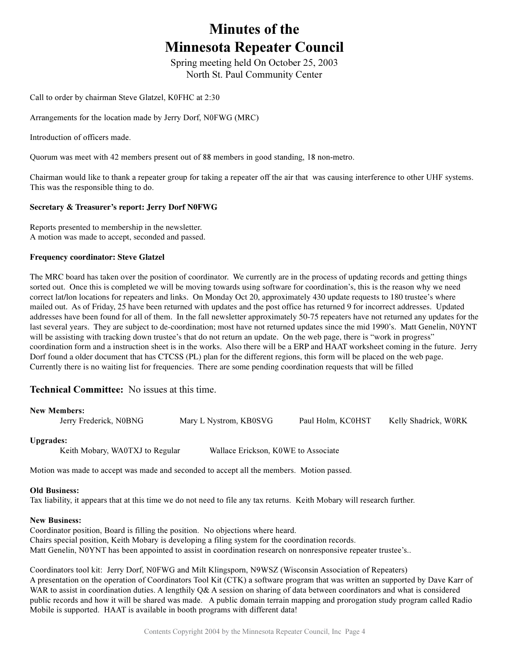# **Minutes of the Minnesota Repeater Council**

Spring meeting held On October 25, 2003 North St. Paul Community Center

Call to order by chairman Steve Glatzel, K0FHC at 2:30

Arrangements for the location made by Jerry Dorf, N0FWG (MRC)

Introduction of officers made.

Quorum was meet with 42 members present out of 88 members in good standing, 18 non-metro.

Chairman would like to thank a repeater group for taking a repeater off the air that was causing interference to other UHF systems. This was the responsible thing to do.

#### **Secretary & Treasurer's report: Jerry Dorf N0FWG**

Reports presented to membership in the newsletter. A motion was made to accept, seconded and passed.

#### **Frequency coordinator: Steve Glatzel**

The MRC board has taken over the position of coordinator. We currently are in the process of updating records and getting things sorted out. Once this is completed we will be moving towards using software for coordination's, this is the reason why we need correct lat/lon locations for repeaters and links. On Monday Oct 20, approximately 430 update requests to 180 trustee's where mailed out. As of Friday, 25 have been returned with updates and the post office has returned 9 for incorrect addresses. Updated addresses have been found for all of them. In the fall newsletter approximately 50-75 repeaters have not returned any updates for the last several years. They are subject to de-coordination; most have not returned updates since the mid 1990's. Matt Genelin, NOYNT will be assisting with tracking down trustee's that do not return an update. On the web page, there is "work in progress" coordination form and a instruction sheet is in the works. Also there will be a ERP and HAAT worksheet coming in the future. Jerry Dorf found a older document that has CTCSS (PL) plan for the different regions, this form will be placed on the web page. Currently there is no waiting list for frequencies. There are some pending coordination requests that will be filled

#### Technical Committee: No issues at this time.

| <b>New Members:</b>    |                        |                   |                      |
|------------------------|------------------------|-------------------|----------------------|
| Jerry Frederick, N0BNG | Mary L Nystrom, KB0SVG | Paul Holm, KC0HST | Kelly Shadrick, W0RK |
|                        |                        |                   |                      |

#### Upgrades:

Keith Mobary, WA0TXJ to Regular Wallace Erickson,

Wallace Erickson, K0WE to Associate

Motion was made to accept was made and seconded to accept all the members. Motion passed.

#### **Old Business:**

Tax liability, it appears that at this time we do not need to file any tax returns. Keith Mobary will research further.

#### **New Business:**

Coordinator position, Board is filling the position. No objections where heard. Chairs special position, Keith Mobary is developing a filing system for the coordination records. Matt Genelin, N0YNT has been appointed to assist in coordination research on nonresponsive repeater trustee's.

Coordinators tool kit: Jerry Dorf, N0FWG and Milt Klingsporn, N9WSZ (Wisconsin Association of Repeaters) A presentation on the operation of Coordinators Tool Kit (CTK) a software program that was written an supported by Dave Karr of WAR to assist in coordination duties. A lengthily Q& A session on sharing of data between coordinators and what is considered public records and how it will be shared was made. A public domain terrain mapping and prorogation study program called Radio Mobile is supported. HAAT is available in booth programs with different data!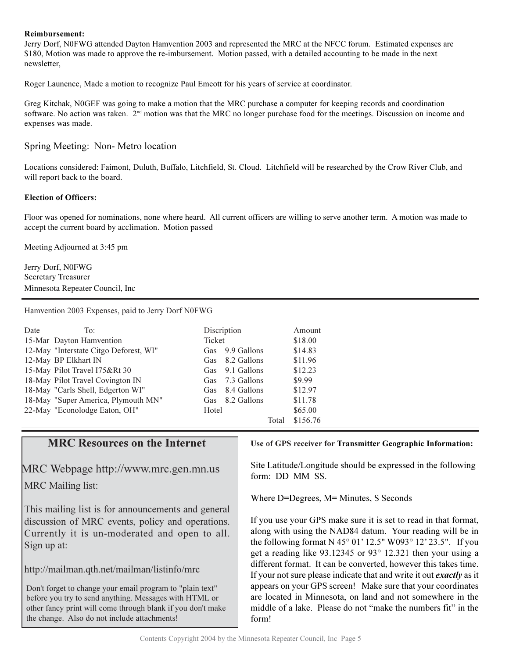#### **Reimbursement:**

Jerry Dorf, N0FWG attended Dayton Hamvention 2003 and represented the MRC at the NFCC forum. Estimated expenses are \$180, Motion was made to approve the re-imbursement. Motion passed, with a detailed accounting to be made in the next newsletter,

Roger Launence, Made a motion to recognize Paul Emeott for his years of service at coordinator.

Greg Kitchak, N0GEF was going to make a motion that the MRC purchase a computer for keeping records and coordination software. No action was taken. 2<sup>nd</sup> motion was that the MRC no longer purchase food for the meetings. Discussion on income and expenses was made.

#### Spring Meeting: Non- Metro location

Locations considered: Faimont, Duluth, Buffalo, Litchfield, St. Cloud. Litchfield will be researched by the Crow River Club, and will report back to the board.

#### **Election of Officers:**

Floor was opened for nominations, none where heard. All current officers are willing to serve another term. A motion was made to accept the current board by acclimation. Motion passed

Meeting Adjourned at 3:45 pm

Jerry Dorf, N0FWG Secretary Treasurer Minnesota Repeater Council, Inc

Hamvention 2003 Expenses, paid to Jerry Dorf N0FWG

| Date | To:                                    |               | Discription |       | Amount   |
|------|----------------------------------------|---------------|-------------|-------|----------|
|      | 15-Mar Dayton Hamvention               | <b>Ticket</b> |             |       | \$18.00  |
|      | 12-May "Interstate Citgo Deforest, WI" | <b>Gas</b>    | 9.9 Gallons |       | \$14.83  |
|      | 12-May BP Elkhart IN                   | Gas           | 8.2 Gallons |       | \$11.96  |
|      | 15-May Pilot Travel I75&Rt 30          | <b>Gas</b>    | 9.1 Gallons |       | \$12.23  |
|      | 18-May Pilot Travel Covington IN       | Gas           | 7.3 Gallons |       | \$9.99   |
|      | 18-May "Carls Shell, Edgerton WI"      | Gas           | 8.4 Gallons |       | \$12.97  |
|      | 18-May "Super America, Plymouth MN"    | <b>Gas</b>    | 8.2 Gallons |       | \$11.78  |
|      | 22-May "Econolodge Eaton, OH"          | Hotel         |             |       | \$65.00  |
|      |                                        |               |             | Total | \$156.76 |

### **MRC Resources on the Internet**

MRC Webpage http://www.mrc.gen.mn.us MRC Mailing list:

This mailing list is for announcements and general discussion of MRC events, policy and operations. Currently it is un-moderated and open to all. Sign up at:

http://mailman.qth.net/mailman/listinfo/mrc

Don't forget to change your email program to "plain text" before you try to send anything. Messages with HTML or other fancy print will come through blank if you don't make the change. Also do not include attachments!

#### Use of GPS receiver for Transmitter Geographic Information:

Site Latitude/Longitude should be expressed in the following form: DD MM SS.

Where D=Degrees, M= Minutes, S Seconds

If you use your GPS make sure it is set to read in that format, along with using the NAD84 datum. Your reading will be in the following format N 45° 01' 12.5" W093° 12' 23.5". If you get a reading like  $93.12345$  or  $93^{\circ}$  12.321 then your using a different format. It can be converted, however this takes time. If your not sure please indicate that and write it out *exactly* as it appears on your GPS screen! Make sure that your coordinates are located in Minnesota, on land and not somewhere in the middle of a lake. Please do not "make the numbers fit" in the form!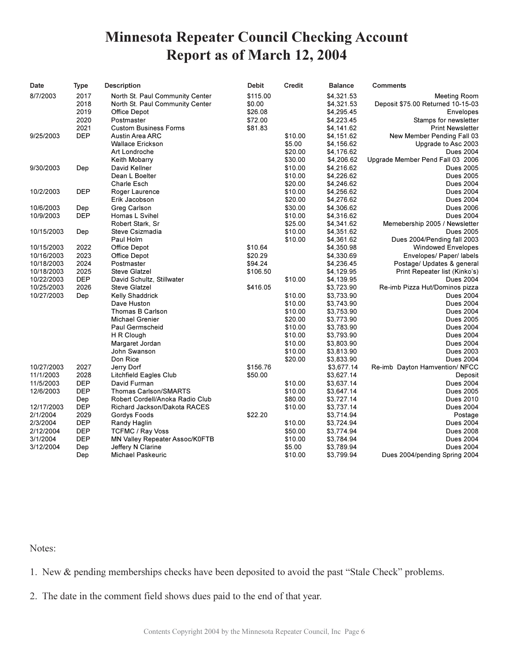# **Minnesota Repeater Council Checking Account** Report as of March 12, 2004

| Date       | <b>Type</b> | <b>Description</b>              | <b>Debit</b> | <b>Credit</b>      | <b>Balance</b> | <b>Comments</b>                   |
|------------|-------------|---------------------------------|--------------|--------------------|----------------|-----------------------------------|
| 8/7/2003   | 2017        | North St. Paul Community Center | \$115.00     |                    | \$4,321.53     | Meeting Room                      |
|            | 2018        | North St. Paul Community Center | \$0.00       |                    | \$4,321.53     | Deposit \$75.00 Returned 10-15-03 |
|            | 2019        | Office Depot                    | \$26.08      |                    | \$4,295.45     | Envelopes                         |
|            | 2020        | Postmaster                      | \$72.00      |                    | \$4,223.45     | Stamps for newsletter             |
|            | 2021        | <b>Custom Business Forms</b>    | \$81.83      |                    | \$4,141.62     | <b>Print Newsletter</b>           |
| 9/25/2003  | <b>DEP</b>  | Austin Area ARC                 |              | \$10.00            | \$4,151.62     | New Member Pending Fall 03        |
|            |             | <b>Wallace Erickson</b>         |              | \$5.00             | \$4,156.62     | Upgrade to Asc 2003               |
|            |             | Art Londroche                   |              | \$20.00            | \$4,176.62     | <b>Dues 2004</b>                  |
|            |             | Keith Mobarry                   |              | \$30.00            | \$4,206.62     | Upgrade Member Pend Fall 03 2006  |
| 9/30/2003  | Dep         | David Kellner                   |              | \$10.00            | \$4,216.62     | <b>Dues 2005</b>                  |
|            |             | Dean L Boelter                  |              | \$10.00            | \$4,226.62     | <b>Dues 2005</b>                  |
|            |             | <b>Charle Esch</b>              |              | \$20.00            | \$4,246.62     | <b>Dues 2004</b>                  |
| 10/2/2003  | <b>DEP</b>  | Roger Laurence                  |              | \$10.00            | \$4,256.62     | <b>Dues 2004</b>                  |
|            |             | Erik Jacobson                   |              | \$20.00            | \$4,276.62     | <b>Dues 2004</b>                  |
| 10/6/2003  | Dep         | Greg Carlson                    |              | \$30.00            | \$4,306.62     | <b>Dues 2006</b>                  |
| 10/9/2003  | <b>DEP</b>  | Homas L Svihel                  |              | \$10.00            | \$4,316.62     | <b>Dues 2004</b>                  |
|            |             | Robert Stark, Sr                |              | \$25.00            | \$4,341.62     | Memebership 2005 / Newsletter     |
| 10/15/2003 | Dep         | Steve Csizmadia                 |              | \$10.00            | \$4,351.62     | <b>Dues 2005</b>                  |
|            |             | Paul Holm                       |              | \$10.00            | \$4,361.62     | Dues 2004/Pending fall 2003       |
| 10/15/2003 | 2022        | Office Depot                    | \$10.64      |                    | \$4,350.98     | <b>Windowed Envelopes</b>         |
| 10/16/2003 | 2023        | Office Depot                    | \$20.29      |                    | \$4,330.69     | Envelopes/ Paper/ labels          |
| 10/18/2003 | 2024        | Postmaster                      | \$94.24      |                    | \$4,236.45     | Postage/ Updates & general        |
| 10/18/2003 | 2025        | <b>Steve Glatzel</b>            | \$106.50     |                    | \$4,129.95     | Print Repeater list (Kinko's)     |
| 10/22/2003 | <b>DEP</b>  | David Schultz, Stillwater       |              | \$10.00            | \$4,139.95     | <b>Dues 2004</b>                  |
| 10/25/2003 | 2026        | <b>Steve Glatzel</b>            | \$416.05     |                    | \$3,723.90     | Re-imb Pizza Hut/Dominos pizza    |
| 10/27/2003 | Dep         | Kelly Shaddrick                 |              | \$10.00            | \$3,733.90     | <b>Dues 2004</b>                  |
|            |             |                                 |              |                    |                |                                   |
|            |             | Dave Huston                     |              | \$10.00<br>\$10.00 | \$3,743.90     | <b>Dues 2004</b>                  |
|            |             | Thomas B Carlson                |              |                    | \$3,753.90     | <b>Dues 2004</b>                  |
|            |             | <b>Michael Grenier</b>          |              | \$20.00            | \$3,773.90     | <b>Dues 2005</b>                  |
|            |             | Paul Germscheid                 |              | \$10.00            | \$3,783.90     | <b>Dues 2004</b>                  |
|            |             | H R Clough                      |              | \$10.00            | \$3,793.90     | <b>Dues 2004</b>                  |
|            |             | Margaret Jordan                 |              | \$10.00            | \$3,803.90     | <b>Dues 2004</b>                  |
|            |             | John Swanson                    |              | \$10.00            | \$3,813.90     | <b>Dues 2003</b>                  |
|            |             | Don Rice                        |              | \$20.00            | \$3,833.90     | <b>Dues 2004</b>                  |
| 10/27/2003 | 2027        | Jerry Dorf                      | \$156.76     |                    | \$3,677.14     | Re-imb Dayton Hamvention/ NFCC    |
| 11/1/2003  | 2028        | <b>Litchfield Eagles Club</b>   | \$50.00      |                    | \$3,627.14     | Deposit                           |
| 11/5/2003  | <b>DEP</b>  | David Furman                    |              | \$10.00            | \$3,637.14     | <b>Dues 2004</b>                  |
| 12/6/2003  | <b>DEP</b>  | Thomas Carlson/SMARTS           |              | \$10.00            | \$3,647.14     | <b>Dues 2005</b>                  |
|            | Dep         | Robert Cordell/Anoka Radio Club |              | \$80.00            | \$3,727.14     | <b>Dues 2010</b>                  |
| 12/17/2003 | <b>DEP</b>  | Richard Jackson/Dakota RACES    |              | \$10.00            | \$3,737.14     | <b>Dues 2004</b>                  |
| 2/1/2004   | 2029        | Gordys Foods                    | \$22.20      |                    | \$3,714.94     | Postage                           |
| 2/3/2004   | <b>DEP</b>  | Randy Haglin                    |              | \$10.00            | \$3,724.94     | <b>Dues 2004</b>                  |
| 2/12/2004  | <b>DEP</b>  | TCFMC / Ray Voss                |              | \$50.00            | \$3,774.94     | <b>Dues 2008</b>                  |
| 3/1/2004   | <b>DEP</b>  | MN Valley Repeater Assoc/K0FTB  |              | \$10.00            | \$3,784.94     | <b>Dues 2004</b>                  |
| 3/12/2004  | Dep         | Jeffery N Clarine               |              | \$5.00             | \$3,789.94     | <b>Dues 2004</b>                  |
|            | Dep         | Michael Paskeuric               |              | \$10.00            | \$3,799.94     | Dues 2004/pending Spring 2004     |

Notes:

1. New & pending memberships checks have been deposited to avoid the past "Stale Check" problems.

2. The date in the comment field shows dues paid to the end of that year.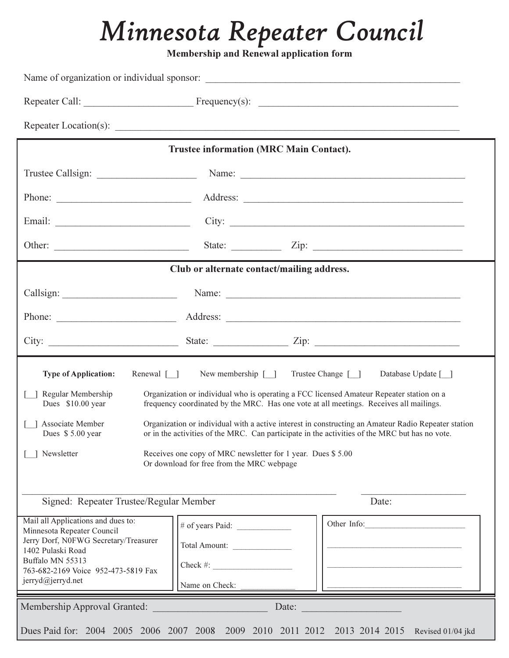# Minnesota Repeater Council

Membership and Renewal application form

|                                                                                                                                                                                                                                               | Trustee information (MRC Main Contact).                                                                                                                                            |                                           |  |  |
|-----------------------------------------------------------------------------------------------------------------------------------------------------------------------------------------------------------------------------------------------|------------------------------------------------------------------------------------------------------------------------------------------------------------------------------------|-------------------------------------------|--|--|
|                                                                                                                                                                                                                                               |                                                                                                                                                                                    |                                           |  |  |
| Phone:                                                                                                                                                                                                                                        |                                                                                                                                                                                    |                                           |  |  |
|                                                                                                                                                                                                                                               | City: $\qquad \qquad$                                                                                                                                                              |                                           |  |  |
|                                                                                                                                                                                                                                               | State: $\angle$ Zip: $\angle$                                                                                                                                                      |                                           |  |  |
|                                                                                                                                                                                                                                               | Club or alternate contact/mailing address.                                                                                                                                         |                                           |  |  |
|                                                                                                                                                                                                                                               |                                                                                                                                                                                    |                                           |  |  |
|                                                                                                                                                                                                                                               |                                                                                                                                                                                    |                                           |  |  |
|                                                                                                                                                                                                                                               |                                                                                                                                                                                    |                                           |  |  |
| <b>Type of Application:</b><br>Renewal $[\ ]$                                                                                                                                                                                                 | New membership $[\ ]$                                                                                                                                                              | Trustee Change [ ]<br>Database Update [ ] |  |  |
| Regular Membership<br>Dues \$10.00 year                                                                                                                                                                                                       | Organization or individual who is operating a FCC licensed Amateur Repeater station on a<br>frequency coordinated by the MRC. Has one vote at all meetings. Receives all mailings. |                                           |  |  |
| Associate Member<br>Organization or individual with a active interest in constructing an Amateur Radio Repeater station<br>or in the activities of the MRC. Can participate in the activities of the MRC but has no vote.<br>Dues \$5.00 year |                                                                                                                                                                                    |                                           |  |  |
| Newsletter<br>Receives one copy of MRC newsletter for 1 year. Dues \$5.00<br>Or download for free from the MRC webpage                                                                                                                        |                                                                                                                                                                                    |                                           |  |  |
| Signed: Repeater Trustee/Regular Member<br>Date:                                                                                                                                                                                              |                                                                                                                                                                                    |                                           |  |  |
| Mail all Applications and dues to:<br>Minnesota Repeater Council<br>Jerry Dorf, N0FWG Secretary/Treasurer<br>1402 Pulaski Road<br>Buffalo MN 55313<br>763-682-2169 Voice 952-473-5819 Fax<br>jerryd@jerryd.net                                | # of years Paid: $\frac{1}{2}$<br>Total Amount:<br>$Check \#:$<br>Name on Check:                                                                                                   | Other Info:                               |  |  |
| Membership Approval Granted:                                                                                                                                                                                                                  | Date:                                                                                                                                                                              |                                           |  |  |
| Dues Paid for: 2004 2005 2006 2007 2008 2009 2010 2011 2012 2013 2014 2015                                                                                                                                                                    |                                                                                                                                                                                    | Revised 01/04 jkd                         |  |  |